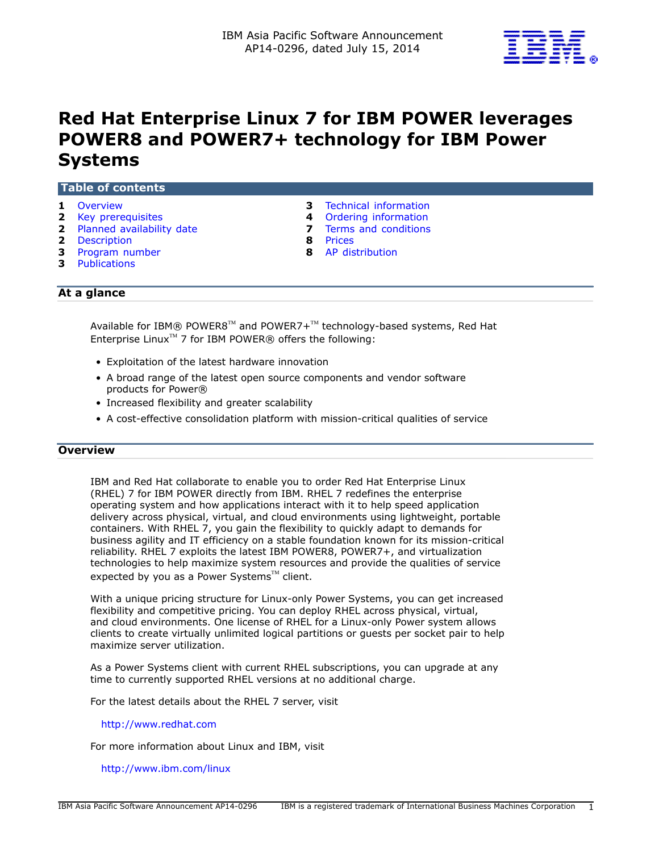

# **Red Hat Enterprise Linux 7 for IBM POWER leverages POWER8 and POWER7+ technology for IBM Power Systems**

## **Table of contents**

- 
- 
- **2** [Planned availability date](#page-1-1) **7** [Terms and conditions](#page-6-0)
- **2** [Description](#page-1-2) **8** [Prices](#page-7-0)
- **3** [Program number](#page-2-1) **8** [AP distribution](#page-7-1)
- **3** [Publications](#page-2-2)
- **1** [Overview](#page-0-0) **3** [Technical information](#page-2-0)
- **2** [Key prerequisites](#page-1-0) **4** [Ordering information](#page-3-0) 
	-
	-
	-

# **At a glance**

Available for IBM® POWER8<sup>™</sup> and POWER7+<sup>™</sup> technology-based systems, Red Hat Enterprise Linux<sup>TM</sup> 7 for IBM POWER® offers the following:

- Exploitation of the latest hardware innovation
- A broad range of the latest open source components and vendor software products for Power®
- Increased flexibility and greater scalability
- A cost-effective consolidation platform with mission-critical qualities of service

# <span id="page-0-0"></span>**Overview**

IBM and Red Hat collaborate to enable you to order Red Hat Enterprise Linux (RHEL) 7 for IBM POWER directly from IBM. RHEL 7 redefines the enterprise operating system and how applications interact with it to help speed application delivery across physical, virtual, and cloud environments using lightweight, portable containers. With RHEL 7, you gain the flexibility to quickly adapt to demands for business agility and IT efficiency on a stable foundation known for its mission-critical reliability. RHEL 7 exploits the latest IBM POWER8, POWER7+, and virtualization technologies to help maximize system resources and provide the qualities of service expected by you as a Power Systems $^{TM}$  client.

With a unique pricing structure for Linux-only Power Systems, you can get increased flexibility and competitive pricing. You can deploy RHEL across physical, virtual, and cloud environments. One license of RHEL for a Linux-only Power system allows clients to create virtually unlimited logical partitions or guests per socket pair to help maximize server utilization.

As a Power Systems client with current RHEL subscriptions, you can upgrade at any time to currently supported RHEL versions at no additional charge.

For the latest details about the RHEL 7 server, visit

<http://www.redhat.com>

For more information about Linux and IBM, visit

<http://www.ibm.com/linux>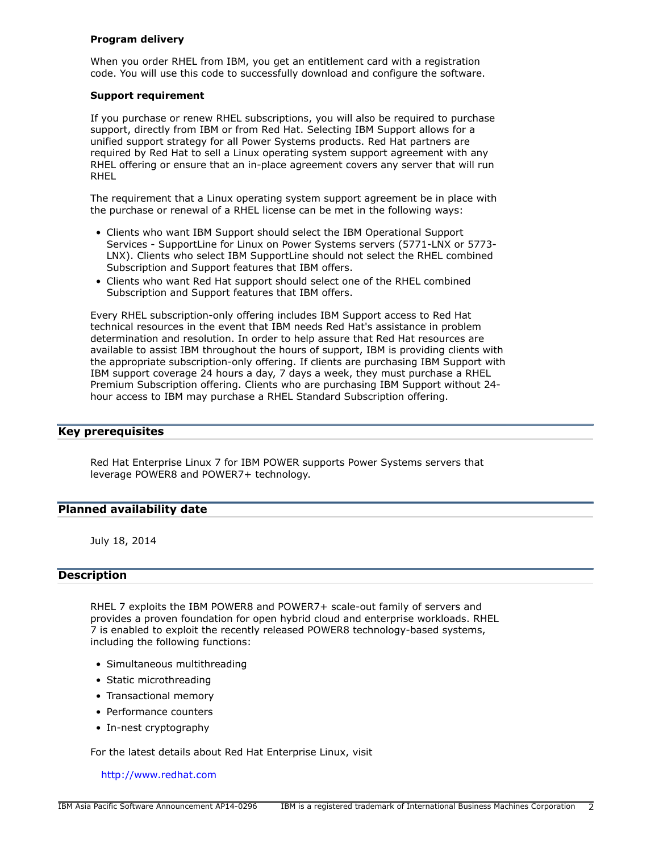## **Program delivery**

When you order RHEL from IBM, you get an entitlement card with a registration code. You will use this code to successfully download and configure the software.

## **Support requirement**

If you purchase or renew RHEL subscriptions, you will also be required to purchase support, directly from IBM or from Red Hat. Selecting IBM Support allows for a unified support strategy for all Power Systems products. Red Hat partners are required by Red Hat to sell a Linux operating system support agreement with any RHEL offering or ensure that an in-place agreement covers any server that will run RHEL

The requirement that a Linux operating system support agreement be in place with the purchase or renewal of a RHEL license can be met in the following ways:

- Clients who want IBM Support should select the IBM Operational Support Services - SupportLine for Linux on Power Systems servers (5771-LNX or 5773- LNX). Clients who select IBM SupportLine should not select the RHEL combined Subscription and Support features that IBM offers.
- Clients who want Red Hat support should select one of the RHEL combined Subscription and Support features that IBM offers.

Every RHEL subscription-only offering includes IBM Support access to Red Hat technical resources in the event that IBM needs Red Hat's assistance in problem determination and resolution. In order to help assure that Red Hat resources are available to assist IBM throughout the hours of support, IBM is providing clients with the appropriate subscription-only offering. If clients are purchasing IBM Support with IBM support coverage 24 hours a day, 7 days a week, they must purchase a RHEL Premium Subscription offering. Clients who are purchasing IBM Support without 24 hour access to IBM may purchase a RHEL Standard Subscription offering.

# <span id="page-1-0"></span>**Key prerequisites**

Red Hat Enterprise Linux 7 for IBM POWER supports Power Systems servers that leverage POWER8 and POWER7+ technology.

# <span id="page-1-1"></span>**Planned availability date**

July 18, 2014

# <span id="page-1-2"></span>**Description**

RHEL 7 exploits the IBM POWER8 and POWER7+ scale-out family of servers and provides a proven foundation for open hybrid cloud and enterprise workloads. RHEL 7 is enabled to exploit the recently released POWER8 technology-based systems, including the following functions:

- Simultaneous multithreading
- Static microthreading
- Transactional memory
- Performance counters
- In-nest cryptography

For the latest details about Red Hat Enterprise Linux, visit

<http://www.redhat.com>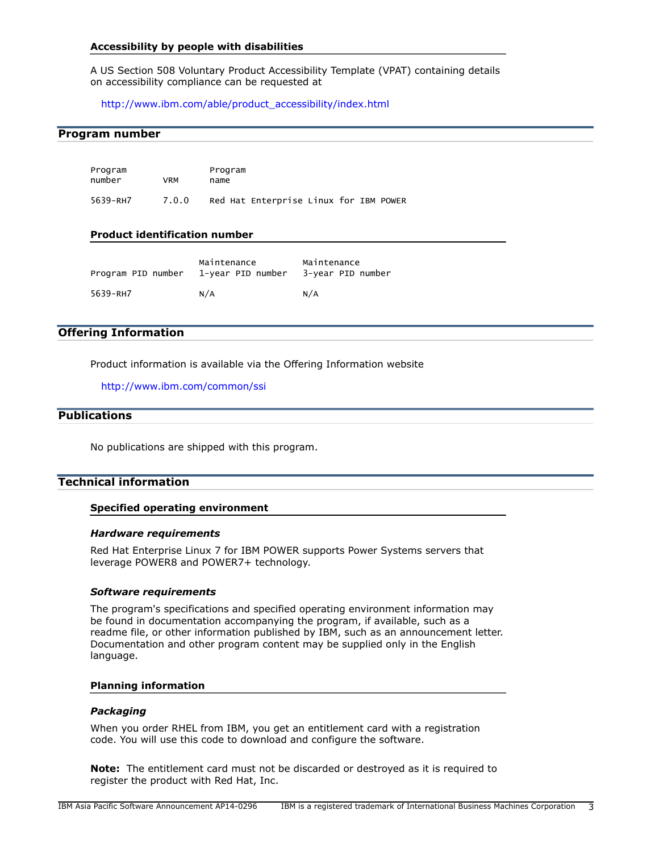# **Accessibility by people with disabilities**

A US Section 508 Voluntary Product Accessibility Template (VPAT) containing details on accessibility compliance can be requested at

[http://www.ibm.com/able/product\\_accessibility/index.html](http://www.ibm.com/able/product_accessibility/index.html)

# <span id="page-2-1"></span>**Program number**

| Program<br>number | VRM   | Program<br>name                        |
|-------------------|-------|----------------------------------------|
| 5639-RH7          | 7.0.0 | Red Hat Enterprise Linux for IBM POWER |

### **Product identification number**

| Program PID number | Maintenance<br>1-year PID number | Maintenance<br>3-year PID number |
|--------------------|----------------------------------|----------------------------------|
| 5639-RH7           | N/A                              | N/A                              |

# **Offering Information**

Product information is available via the Offering Information website

<http://www.ibm.com/common/ssi>

# <span id="page-2-2"></span>**Publications**

No publications are shipped with this program.

# <span id="page-2-0"></span>**Technical information**

#### **Specified operating environment**

#### *Hardware requirements*

Red Hat Enterprise Linux 7 for IBM POWER supports Power Systems servers that leverage POWER8 and POWER7+ technology.

### *Software requirements*

The program's specifications and specified operating environment information may be found in documentation accompanying the program, if available, such as a readme file, or other information published by IBM, such as an announcement letter. Documentation and other program content may be supplied only in the English language.

# **Planning information**

### *Packaging*

When you order RHEL from IBM, you get an entitlement card with a registration code. You will use this code to download and configure the software.

**Note:** The entitlement card must not be discarded or destroyed as it is required to register the product with Red Hat, Inc.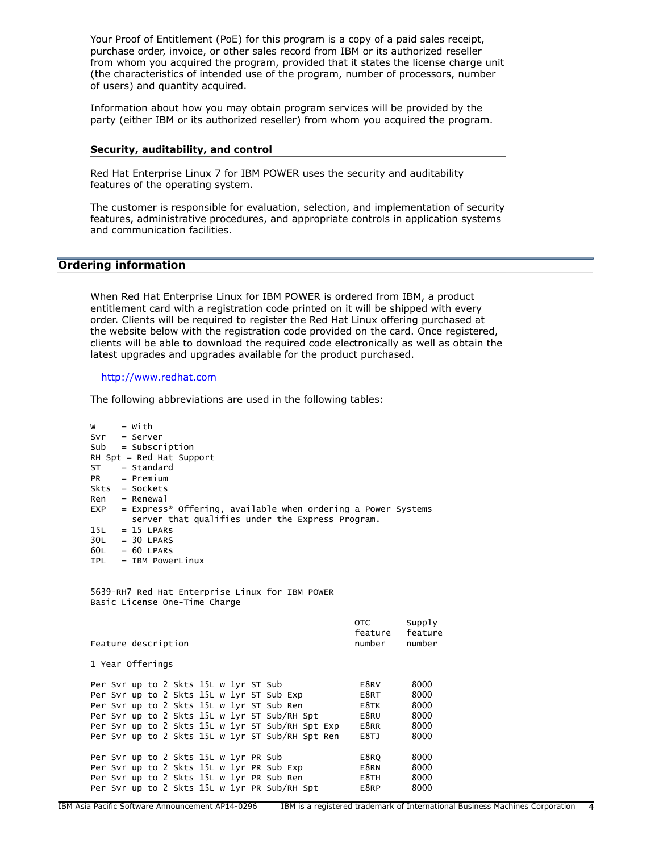Your Proof of Entitlement (PoE) for this program is a copy of a paid sales receipt, purchase order, invoice, or other sales record from IBM or its authorized reseller from whom you acquired the program, provided that it states the license charge unit (the characteristics of intended use of the program, number of processors, number of users) and quantity acquired.

Information about how you may obtain program services will be provided by the party (either IBM or its authorized reseller) from whom you acquired the program.

#### **Security, auditability, and control**

Red Hat Enterprise Linux 7 for IBM POWER uses the security and auditability features of the operating system.

The customer is responsible for evaluation, selection, and implementation of security features, administrative procedures, and appropriate controls in application systems and communication facilities.

### <span id="page-3-0"></span>**Ordering information**

When Red Hat Enterprise Linux for IBM POWER is ordered from IBM, a product entitlement card with a registration code printed on it will be shipped with every order. Clients will be required to register the Red Hat Linux offering purchased at the website below with the registration code provided on the card. Once registered, clients will be able to download the required code electronically as well as obtain the latest upgrades and upgrades available for the product purchased.

#### <http://www.redhat.com>

The following abbreviations are used in the following tables:

 $W = With$ Svr = Server Sub = Subscription RH Spt = Red Hat Support  $ST = Standard  
\nPR = premium$  $=$  Premium Skts = Sockets  $Ren = Renewal$  $EXP = Express<sup>®</sup>$  Offering, available when ordering a Power Systems server that qualifies under the Express Program.  $15L = 15$  LPARS  $30L = 30$  LPARS  $60L = 60$  LPARS

IPL = IBM PowerLinux

5639-RH7 Red Hat Enterprise Linux for IBM POWER Basic License One-Time Charge

| Feature description                              | OTC.<br>feature<br>number | Supp1V<br>feature<br>number |
|--------------------------------------------------|---------------------------|-----------------------------|
| 1 Year Offerings                                 |                           |                             |
| Per Syr up to 2 Skts 15L w 1yr ST Sub            | E8RV                      | 8000                        |
| Per Svr up to 2 Skts 15L w 1yr ST Sub Exp        | E8RT                      | 8000                        |
| Per Syr up to 2 Skts 15L w 1yr ST Sub Ren        | E8TK                      | 8000                        |
| Per Svr up to 2 Skts 15L w 1yr ST Sub/RH Spt     | E8RU                      | 8000                        |
| Per Svr up to 2 Skts 15L w 1yr ST Sub/RH Spt Exp | E8RR                      | 8000                        |
| Per Svr up to 2 Skts 15L w 1yr ST Sub/RH Spt Ren | E8TJ                      | 8000                        |
|                                                  |                           |                             |
| Per Syr up to 2 Skts 15L w 1yr PR Sub            | E8RO                      | 8000                        |
| Per Svr up to 2 Skts 15L w 1yr PR Sub Exp        | E8RN                      | 8000                        |
| Per Syr up to 2 Skts 15L w 1yr PR Sub Ren        | E8TH                      | 8000                        |
| Per Svr up to 2 Skts 15L w 1yr PR Sub/RH Spt     | E8RP                      | 8000                        |
|                                                  |                           |                             |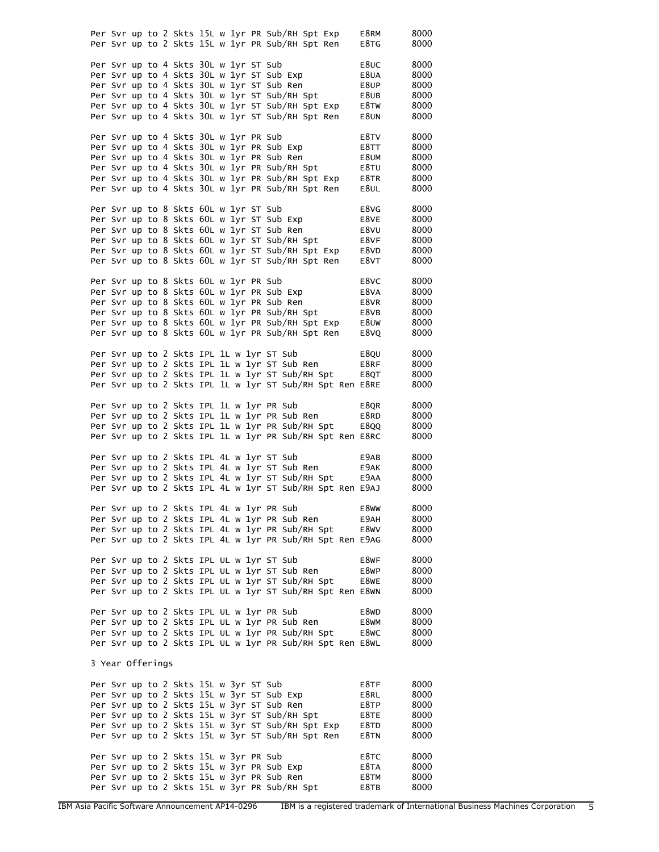|                  |  | Per Svr up to 2 Skts 15L w 1yr PR Sub/RH Spt Exp<br>Per Svr up to 2 Skts 15L w 1yr PR Sub/RH Spt Ren        |  |  |  |  | E8RM<br>E8TG                                             | 8000<br>8000 |
|------------------|--|-------------------------------------------------------------------------------------------------------------|--|--|--|--|----------------------------------------------------------|--------------|
|                  |  | Per Svr up to 4 Skts 30L w 1yr ST Sub                                                                       |  |  |  |  | E8UC                                                     | 8000         |
|                  |  | Per Svr up to 4 Skts 30L w 1yr ST Sub Exp                                                                   |  |  |  |  | E8UA                                                     | 8000         |
|                  |  | Per Svr up to 4 Skts 30L w 1yr ST Sub Ren                                                                   |  |  |  |  | E8UP                                                     | 8000         |
|                  |  | Per Svr up to 4 Skts 30L w 1yr ST Sub/RH Spt                                                                |  |  |  |  | E8UB                                                     | 8000         |
|                  |  | Per Svr up to 4 Skts 30L w 1yr ST Sub/RH Spt Exp                                                            |  |  |  |  | E8TW                                                     | 8000         |
|                  |  | Per Svr up to 4 Skts 30L w 1yr ST Sub/RH Spt Ren                                                            |  |  |  |  | E8UN                                                     | 8000         |
|                  |  | Per Svr up to 4 Skts 30L w 1yr PR Sub                                                                       |  |  |  |  | E8TV                                                     | 8000         |
|                  |  | Per Svr up to 4 Skts 30L w 1yr PR Sub Exp                                                                   |  |  |  |  | E8TT                                                     | 8000         |
|                  |  | Per Svr up to 4 Skts 30L w 1yr PR Sub Ren                                                                   |  |  |  |  | E8UM                                                     | 8000<br>8000 |
|                  |  | Per Svr up to 4 Skts 30L w 1yr PR Sub/RH Spt<br>Per Svr up to 4 Skts 30L w 1yr PR Sub/RH Spt Exp            |  |  |  |  | E8TU<br>E8TR                                             | 8000         |
|                  |  | Per Svr up to 4 Skts 30L w 1yr PR Sub/RH Spt Ren                                                            |  |  |  |  | E8UL                                                     | 8000         |
|                  |  |                                                                                                             |  |  |  |  |                                                          |              |
|                  |  | Per Svr up to 8 Skts 60L w 1yr ST Sub                                                                       |  |  |  |  | E8VG                                                     | 8000         |
|                  |  | Per Svr up to 8 Skts 60L w 1yr ST Sub Exp                                                                   |  |  |  |  | E8VE                                                     | 8000         |
|                  |  | Per Svr up to 8 Skts 60L w 1yr ST Sub Ren                                                                   |  |  |  |  | E8VU                                                     | 8000         |
|                  |  | Per Svr up to 8 Skts 60L w 1yr ST Sub/RH Spt<br>Per Svr up to 8 Skts 60L w 1yr ST Sub/RH Spt Exp            |  |  |  |  | E8VF<br>E8VD                                             | 8000<br>8000 |
|                  |  | Per Svr up to 8 Skts 60L w 1yr ST Sub/RH Spt Ren                                                            |  |  |  |  | E8VT                                                     | 8000         |
|                  |  |                                                                                                             |  |  |  |  |                                                          |              |
|                  |  | Per Syr up to 8 Skts 60L w 1yr PR Sub                                                                       |  |  |  |  | E8VC                                                     | 8000         |
|                  |  | Per Svr up to 8 Skts 60L w 1yr PR Sub Exp                                                                   |  |  |  |  | E8VA                                                     | 8000         |
|                  |  | Per Svr up to 8 Skts 60L w 1yr PR Sub Ren                                                                   |  |  |  |  | E8VR                                                     | 8000         |
|                  |  | Per Svr up to 8 Skts 60L w 1yr PR Sub/RH Spt                                                                |  |  |  |  | E8VB<br>E8UW                                             | 8000         |
|                  |  | Per Svr up to 8 Skts 60L w 1yr PR Sub/RH Spt Exp<br>Per Svr up to 8 Skts 60L w 1yr PR Sub/RH Spt Ren        |  |  |  |  | E8VQ                                                     | 8000<br>8000 |
|                  |  |                                                                                                             |  |  |  |  |                                                          |              |
|                  |  | Per Svr up to 2 Skts IPL 1L w 1yr ST Sub                                                                    |  |  |  |  | E8QU                                                     | 8000         |
|                  |  | Per Svr up to 2 Skts IPL 1L w 1yr ST Sub Ren                                                                |  |  |  |  | E8RF                                                     | 8000         |
|                  |  | Per Svr up to 2 Skts IPL 1L w 1yr ST Sub/RH Spt                                                             |  |  |  |  | E8QT                                                     | 8000         |
|                  |  | Per Svr up to 2 Skts IPL 1L w 1yr ST Sub/RH Spt Ren E8RE                                                    |  |  |  |  |                                                          | 8000         |
|                  |  | Per Svr up to 2 Skts IPL 1L w 1yr PR Sub                                                                    |  |  |  |  | E8QR                                                     | 8000         |
|                  |  | Per Svr up to 2 Skts IPL 1L w 1yr PR Sub Ren                                                                |  |  |  |  | E8RD                                                     | 8000         |
|                  |  | Per Svr up to 2 Skts IPL 1L w 1yr PR Sub/RH Spt<br>Per Svr up to 2 Skts IPL 1L w 1yr PR Sub/RH Spt Ren E8RC |  |  |  |  | E8QQ                                                     | 8000<br>8000 |
|                  |  |                                                                                                             |  |  |  |  |                                                          |              |
|                  |  | Per Svr up to 2 Skts IPL 4L w 1yr ST Sub                                                                    |  |  |  |  | E9AB                                                     | 8000         |
|                  |  | Per Svr up to 2 Skts IPL 4L w 1yr ST Sub Ren                                                                |  |  |  |  | E9AK                                                     | 8000         |
|                  |  | Per Svr up to 2 Skts IPL 4L w 1yr ST Sub/RH Spt                                                             |  |  |  |  | E9AA                                                     | 8000         |
|                  |  | Per Svr up to 2 Skts IPL 4L w 1yr ST Sub/RH Spt Ren E9AJ                                                    |  |  |  |  |                                                          | 8000         |
|                  |  | Per Svr up to 2 Skts IPL 4L w 1yr PR Sub                                                                    |  |  |  |  | E8WW                                                     | 8000         |
|                  |  | Per Svr up to 2 Skts IPL 4L w 1yr PR Sub Ren                                                                |  |  |  |  | E9AH                                                     | 8000         |
|                  |  | Per Svr up to 2 Skts IPL 4L w 1yr PR Sub/RH Spt                                                             |  |  |  |  | E8wv                                                     | 8000         |
|                  |  | Per Svr up to 2 Skts IPL 4L w 1yr PR Sub/RH Spt Ren E9AG                                                    |  |  |  |  |                                                          | 8000         |
|                  |  | Per Svr up to 2 Skts IPL UL w 1yr ST Sub                                                                    |  |  |  |  | E8WF                                                     | 8000         |
|                  |  | Per Svr up to 2 Skts IPL UL w 1yr ST Sub Ren                                                                |  |  |  |  | E8WP                                                     | 8000         |
|                  |  | Per Svr up to 2 Skts IPL UL w 1yr ST Sub/RH Spt                                                             |  |  |  |  | E8WE                                                     | 8000         |
|                  |  | Per Svr up to 2 Skts IPL UL w 1yr ST Sub/RH Spt Ren E8WN                                                    |  |  |  |  |                                                          | 8000         |
|                  |  | Per Svr up to 2 Skts IPL UL w 1yr PR Sub                                                                    |  |  |  |  | E8WD                                                     | 8000         |
|                  |  | Per Svr up to 2 Skts IPL UL w 1yr PR Sub Ren                                                                |  |  |  |  | E8WM                                                     | 8000         |
|                  |  | Per Svr up to 2 Skts IPL UL w 1yr PR Sub/RH Spt                                                             |  |  |  |  | E8WC                                                     | 8000         |
|                  |  |                                                                                                             |  |  |  |  | Per Svr up to 2 Skts IPL UL w 1yr PR Sub/RH Spt Ren E8WL | 8000         |
| 3 Year Offerings |  |                                                                                                             |  |  |  |  |                                                          |              |
|                  |  |                                                                                                             |  |  |  |  |                                                          |              |
|                  |  | Per Svr up to 2 Skts 15L w 3yr ST Sub                                                                       |  |  |  |  | E8TF                                                     | 8000         |
|                  |  | Per Svr up to 2 Skts 15L w 3yr ST Sub Exp                                                                   |  |  |  |  | E8RL                                                     | 8000         |
|                  |  | Per Svr up to 2 Skts 15L w 3yr ST Sub Ren                                                                   |  |  |  |  | E8TP                                                     | 8000         |
|                  |  | Per Svr up to 2 Skts 15L w 3yr ST Sub/RH Spt<br>Per Svr up to 2 Skts 15L w 3yr ST Sub/RH Spt Exp            |  |  |  |  | E8TE<br>E8TD                                             | 8000<br>8000 |
|                  |  | Per Svr up to 2 Skts 15L w 3yr ST Sub/RH Spt Ren                                                            |  |  |  |  | E8TN                                                     | 8000         |
|                  |  |                                                                                                             |  |  |  |  |                                                          |              |
|                  |  | Per Svr up to 2 Skts 15L w 3yr PR Sub                                                                       |  |  |  |  | E8TC                                                     | 8000         |
|                  |  | Per Svr up to 2 Skts 15L w 3yr PR Sub Exp                                                                   |  |  |  |  | E8TA                                                     | 8000         |
|                  |  | Per Svr up to 2 Skts 15L w 3yr PR Sub Ren<br>Per Svr up to 2 Skts 15L w 3yr PR Sub/RH Spt                   |  |  |  |  | E8TM<br>E8TB                                             | 8000<br>8000 |
|                  |  |                                                                                                             |  |  |  |  |                                                          |              |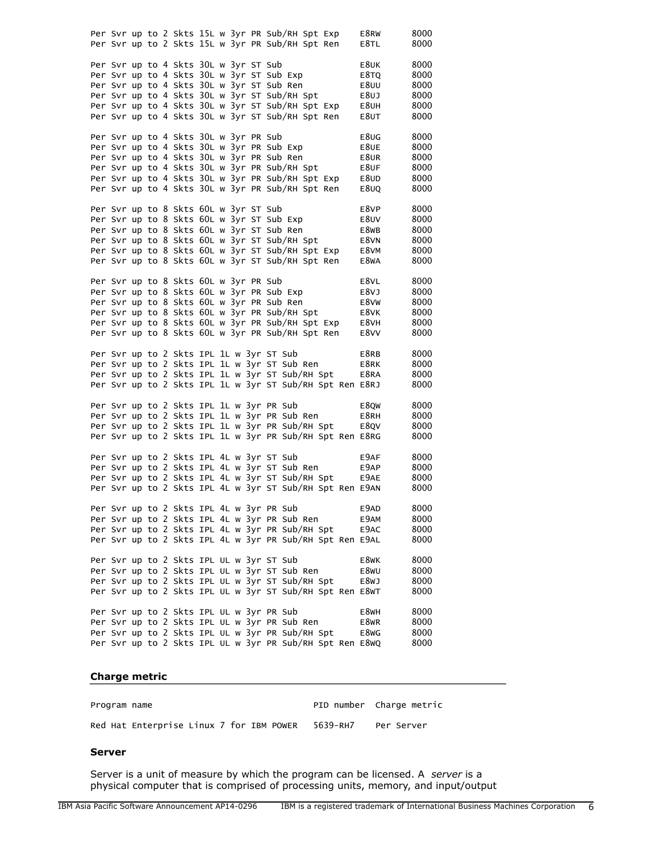|                                          |  | Per Svr up to 2 Skts 15L w 3yr PR Sub/RH Spt Exp<br>Per Svr up to 2 Skts 15L w 3yr PR Sub/RH Spt Ren        |  |  |  |  | E8RW<br>E8TL | 8000<br>8000 |
|------------------------------------------|--|-------------------------------------------------------------------------------------------------------------|--|--|--|--|--------------|--------------|
|                                          |  | Per Svr up to 4 Skts 30L w 3yr ST Sub                                                                       |  |  |  |  | E8UK         | 8000         |
|                                          |  | Per Svr up to 4 Skts 30L w 3yr ST Sub Exp                                                                   |  |  |  |  | E8TQ         | 8000         |
|                                          |  | Per Svr up to 4 Skts 30L w 3yr ST Sub Ren                                                                   |  |  |  |  | E8UU         | 8000         |
|                                          |  | Per Svr up to 4 Skts 30L w 3yr ST Sub/RH Spt                                                                |  |  |  |  | E8UJ         | 8000         |
|                                          |  | Per Svr up to 4 Skts 30L w 3yr ST Sub/RH Spt Exp                                                            |  |  |  |  | E8UH         | 8000         |
|                                          |  | Per Svr up to 4 Skts 30L w 3yr ST Sub/RH Spt Ren                                                            |  |  |  |  | E8UT         | 8000         |
|                                          |  |                                                                                                             |  |  |  |  |              |              |
|                                          |  | Per Svr up to 4 Skts 30L w 3yr PR Sub                                                                       |  |  |  |  | E8UG         | 8000         |
|                                          |  | Per Svr up to 4 Skts 30L w 3yr PR Sub Exp                                                                   |  |  |  |  | E8UE         | 8000         |
|                                          |  | Per Svr up to 4 Skts 30L w 3yr PR Sub Ren                                                                   |  |  |  |  | E8UR         | 8000         |
|                                          |  | Per Svr up to 4 Skts 30L w 3yr PR Sub/RH Spt                                                                |  |  |  |  | E8UF         | 8000         |
|                                          |  | Per Svr up to 4 Skts 30L w 3yr PR Sub/RH Spt Exp                                                            |  |  |  |  | E8UD         | 8000         |
|                                          |  | Per Svr up to 4 Skts 30L w 3yr PR Sub/RH Spt Ren                                                            |  |  |  |  | E8UQ         | 8000         |
|                                          |  |                                                                                                             |  |  |  |  |              |              |
|                                          |  | Per Svr up to 8 Skts 60L w 3yr ST Sub                                                                       |  |  |  |  | E8VP         | 8000         |
|                                          |  | Per Svr up to 8 Skts 60L w 3yr ST Sub Exp                                                                   |  |  |  |  | E8UV         | 8000         |
|                                          |  | Per Svr up to 8 Skts 60L w 3yr ST Sub Ren                                                                   |  |  |  |  | E8WB         | 8000         |
|                                          |  | Per Svr up to 8 Skts 60L w 3yr ST Sub/RH Spt                                                                |  |  |  |  | E8VN         | 8000         |
|                                          |  | Per Svr up to 8 Skts 60L w 3yr ST Sub/RH Spt Exp                                                            |  |  |  |  | E8VM         | 8000         |
|                                          |  | Per Svr up to 8 Skts 60L w 3yr ST Sub/RH Spt Ren                                                            |  |  |  |  | E8WA         | 8000         |
|                                          |  | Per Svr up to 8 Skts 60L w 3yr PR Sub                                                                       |  |  |  |  | E8VL         | 8000         |
|                                          |  | Per Svr up to 8 Skts 60L w 3yr PR Sub Exp                                                                   |  |  |  |  | E8VJ         | 8000         |
|                                          |  | Per Svr up to 8 Skts 60L w 3yr PR Sub Ren                                                                   |  |  |  |  | E8VW         | 8000         |
|                                          |  | Per Svr up to 8 Skts 60L w 3yr PR Sub/RH Spt                                                                |  |  |  |  | E8VK         | 8000         |
|                                          |  |                                                                                                             |  |  |  |  |              |              |
|                                          |  | Per Svr up to 8 Skts 60L w 3yr PR Sub/RH Spt Exp                                                            |  |  |  |  | E8VH         | 8000         |
|                                          |  | Per Svr up to 8 Skts 60L w 3yr PR Sub/RH Spt Ren                                                            |  |  |  |  | E8VV         | 8000         |
|                                          |  | Per Svr up to 2 Skts IPL 1L w 3yr ST Sub                                                                    |  |  |  |  | E8RB         | 8000         |
|                                          |  | Per Svr up to 2 Skts IPL 1L w 3yr ST Sub Ren                                                                |  |  |  |  | E8RK         | 8000         |
|                                          |  | Per Svr up to 2 Skts IPL 1L w 3yr ST Sub/RH Spt                                                             |  |  |  |  | E8RA         | 8000         |
|                                          |  | Per Svr up to 2 Skts IPL 1L w 3yr ST Sub/RH Spt Ren E8RJ                                                    |  |  |  |  |              | 8000         |
|                                          |  |                                                                                                             |  |  |  |  |              |              |
|                                          |  | Per Svr up to 2 Skts IPL 1L w 3yr PR Sub                                                                    |  |  |  |  | E8QW         | 8000         |
|                                          |  | Per Svr up to 2 Skts IPL 1L w 3yr PR Sub Ren                                                                |  |  |  |  | E8RH         | 8000         |
|                                          |  | Per Svr up to 2 Skts IPL 1L w 3yr PR Sub/RH Spt                                                             |  |  |  |  | E8QV         | 8000         |
|                                          |  | Per Svr up to 2 Skts IPL 1L w 3yr PR Sub/RH Spt Ren E8RG                                                    |  |  |  |  |              | 8000         |
|                                          |  | Per Svr up to 2 Skts IPL 4L w 3yr ST Sub                                                                    |  |  |  |  | E9AF         | 8000         |
|                                          |  | Per Svr up to 2 Skts IPL 4L w 3yr ST Sub Ren                                                                |  |  |  |  | E9AP         | 8000         |
|                                          |  | Per Svr up to 2 Skts IPL 4L w 3yr ST Sub/RH Spt                                                             |  |  |  |  | E9AE         | 8000         |
|                                          |  | Per Svr up to 2 Skts IPL 4L w 3yr ST Sub/RH Spt Ren E9AN                                                    |  |  |  |  |              | 8000         |
|                                          |  |                                                                                                             |  |  |  |  |              |              |
|                                          |  | Per Svr up to 2 Skts IPL 4L w 3yr PR Sub                                                                    |  |  |  |  | E9AD         | 8000         |
|                                          |  | Per Svr up to 2 Skts IPL 4L w 3yr PR Sub Ren                                                                |  |  |  |  | E9AM         | 8000         |
|                                          |  | Per Svr up to 2 Skts IPL 4L w 3yr PR Sub/RH Spt                                                             |  |  |  |  | E9AC         | 8000         |
|                                          |  | Per Svr up to 2 Skts IPL 4L w 3yr PR Sub/RH Spt Ren E9AL                                                    |  |  |  |  |              | 8000         |
|                                          |  |                                                                                                             |  |  |  |  |              |              |
|                                          |  | Per Svr up to 2 Skts IPL UL w 3yr ST Sub                                                                    |  |  |  |  | E8WK         | 8000         |
|                                          |  | Per Svr up to 2 Skts IPL UL w 3yr ST Sub Ren                                                                |  |  |  |  | E8WU         | 8000         |
|                                          |  | Per Svr up to 2 Skts IPL UL w 3yr ST Sub/RH Spt                                                             |  |  |  |  | E8WJ         | 8000         |
|                                          |  | Per Svr up to 2 Skts IPL UL w 3yr ST Sub/RH Spt Ren E8WT                                                    |  |  |  |  |              | 8000         |
|                                          |  |                                                                                                             |  |  |  |  | E8WH         | 8000         |
|                                          |  |                                                                                                             |  |  |  |  |              |              |
| Per Svr up to 2 Skts IPL UL w 3yr PR Sub |  |                                                                                                             |  |  |  |  | E8WR         | 8000         |
|                                          |  | Per Svr up to 2 Skts IPL UL w 3yr PR Sub Ren                                                                |  |  |  |  | E8WG         | 8000         |
|                                          |  | Per Svr up to 2 Skts IPL UL w 3yr PR Sub/RH Spt<br>Per Svr up to 2 Skts IPL UL w 3yr PR Sub/RH Spt Ren E8WQ |  |  |  |  |              | 8000         |

# **Charge metric**

Program name **PID** number Charge metric Red Hat Enterprise Linux 7 for IBM POWER 5639-RH7 Per Server

# **Server**

Server is a unit of measure by which the program can be licensed. A *server* is a physical computer that is comprised of processing units, memory, and input/output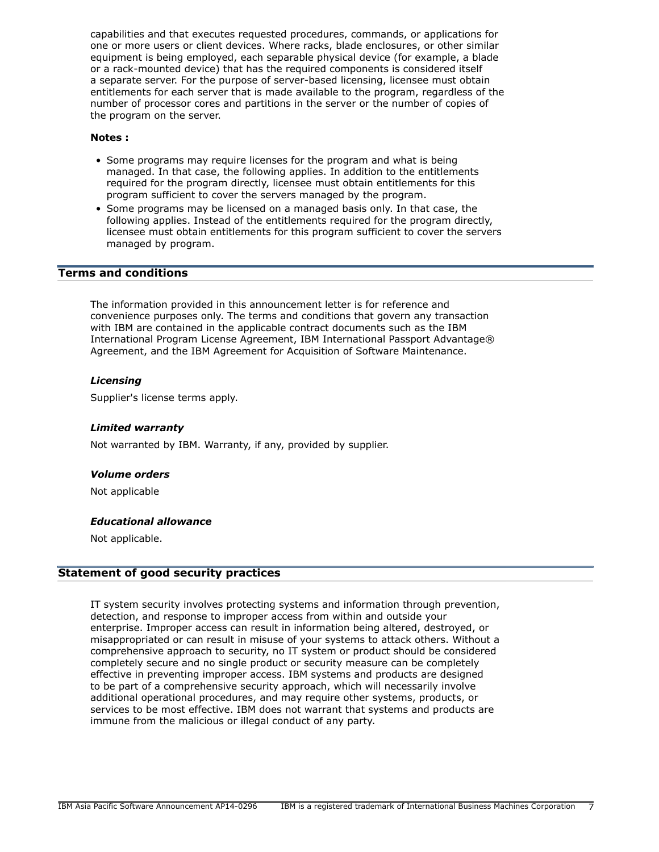capabilities and that executes requested procedures, commands, or applications for one or more users or client devices. Where racks, blade enclosures, or other similar equipment is being employed, each separable physical device (for example, a blade or a rack-mounted device) that has the required components is considered itself a separate server. For the purpose of server-based licensing, licensee must obtain entitlements for each server that is made available to the program, regardless of the number of processor cores and partitions in the server or the number of copies of the program on the server.

### **Notes :**

- Some programs may require licenses for the program and what is being managed. In that case, the following applies. In addition to the entitlements required for the program directly, licensee must obtain entitlements for this program sufficient to cover the servers managed by the program.
- Some programs may be licensed on a managed basis only. In that case, the following applies. Instead of the entitlements required for the program directly, licensee must obtain entitlements for this program sufficient to cover the servers managed by program.

# <span id="page-6-0"></span>**Terms and conditions**

The information provided in this announcement letter is for reference and convenience purposes only. The terms and conditions that govern any transaction with IBM are contained in the applicable contract documents such as the IBM International Program License Agreement, IBM International Passport Advantage® Agreement, and the IBM Agreement for Acquisition of Software Maintenance.

# *Licensing*

Supplier's license terms apply.

### *Limited warranty*

Not warranted by IBM. Warranty, if any, provided by supplier.

### *Volume orders*

Not applicable

### *Educational allowance*

Not applicable.

## **Statement of good security practices**

IT system security involves protecting systems and information through prevention, detection, and response to improper access from within and outside your enterprise. Improper access can result in information being altered, destroyed, or misappropriated or can result in misuse of your systems to attack others. Without a comprehensive approach to security, no IT system or product should be considered completely secure and no single product or security measure can be completely effective in preventing improper access. IBM systems and products are designed to be part of a comprehensive security approach, which will necessarily involve additional operational procedures, and may require other systems, products, or services to be most effective. IBM does not warrant that systems and products are immune from the malicious or illegal conduct of any party.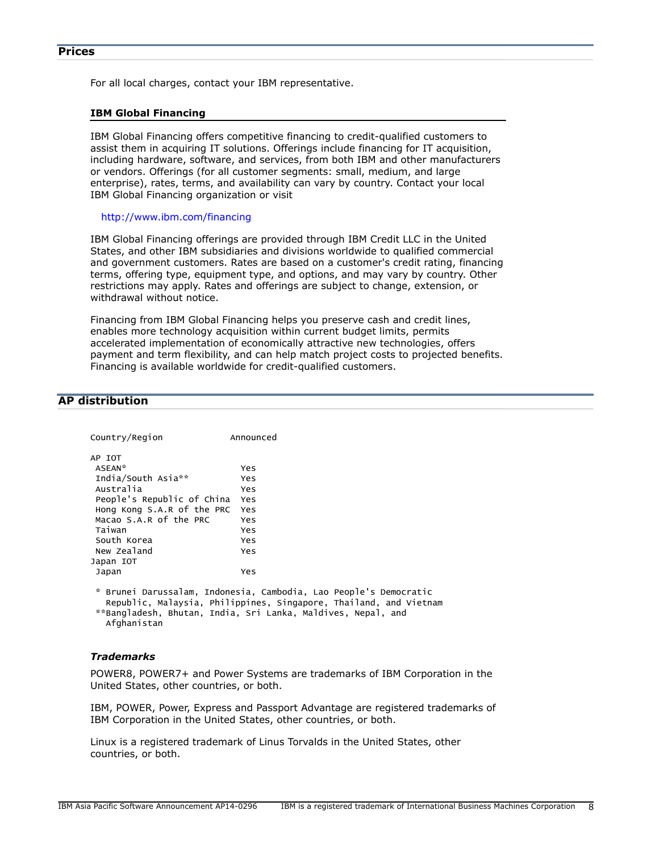<span id="page-7-0"></span>For all local charges, contact your IBM representative.

#### **IBM Global Financing**

IBM Global Financing offers competitive financing to credit-qualified customers to assist them in acquiring IT solutions. Offerings include financing for IT acquisition, including hardware, software, and services, from both IBM and other manufacturers or vendors. Offerings (for all customer segments: small, medium, and large enterprise), rates, terms, and availability can vary by country. Contact your local IBM Global Financing organization or visit

#### <http://www.ibm.com/financing>

IBM Global Financing offerings are provided through IBM Credit LLC in the United States, and other IBM subsidiaries and divisions worldwide to qualified commercial and government customers. Rates are based on a customer's credit rating, financing terms, offering type, equipment type, and options, and may vary by country. Other restrictions may apply. Rates and offerings are subject to change, extension, or withdrawal without notice.

Financing from IBM Global Financing helps you preserve cash and credit lines, enables more technology acquisition within current budget limits, permits accelerated implementation of economically attractive new technologies, offers payment and term flexibility, and can help match project costs to projected benefits. Financing is available worldwide for credit-qualified customers.

# <span id="page-7-1"></span>**AP distribution**

| Country/Region             | Announced                                                                                                                                                                                              |
|----------------------------|--------------------------------------------------------------------------------------------------------------------------------------------------------------------------------------------------------|
| AP IOT                     |                                                                                                                                                                                                        |
| ASEAN*                     | Yes                                                                                                                                                                                                    |
| India/South Asia**         | Yes                                                                                                                                                                                                    |
| Australia                  | Yes                                                                                                                                                                                                    |
| People's Republic of China | Yes                                                                                                                                                                                                    |
| Hong Kong S.A.R of the PRC | Yes                                                                                                                                                                                                    |
| Macao S.A.R of the PRC     | Yes                                                                                                                                                                                                    |
| Taiwan                     | Yes                                                                                                                                                                                                    |
| South Korea                | Yes                                                                                                                                                                                                    |
| New Zealand                | Yes                                                                                                                                                                                                    |
| Japan IOT                  |                                                                                                                                                                                                        |
| Japan                      | Yes                                                                                                                                                                                                    |
| Afghanistan                | * Brunei Darussalam, Indonesia, Cambodia, Lao People's Democratic<br>Republic, Malaysia, Philippines, Singapore, Thailand, and Vietnam<br>**Bangladesh, Bhutan, India, Sri Lanka, Maldives, Nepal, and |

# *Trademarks*

POWER8, POWER7+ and Power Systems are trademarks of IBM Corporation in the United States, other countries, or both.

IBM, POWER, Power, Express and Passport Advantage are registered trademarks of IBM Corporation in the United States, other countries, or both.

Linux is a registered trademark of Linus Torvalds in the United States, other countries, or both.